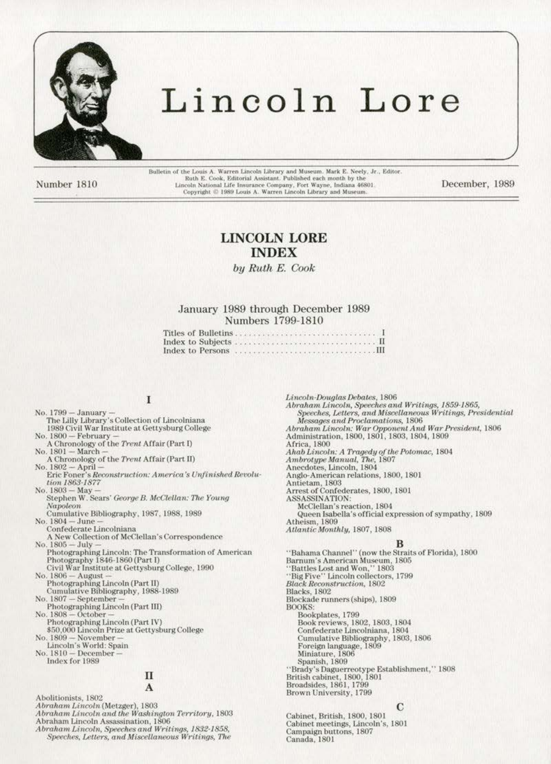

# Lincoln Lore

Number 1810

Bulletin of the Louis A. Warren Lincoln Library and Museum. Mark E. Neely, Jr., Editor.<br>Ruth E. Cook, Editorial Assistant. Published each month by the Lincoln National Life Insurance Company, Fort Wayne, Indiana 46801<br>Copyright © 1989 Louis A. Warren Lincoln Library and Museum.

December, 1989

# **LINCOLN LORE INDEX**

by Ruth E. Cook

# January 1989 through December 1989 Numbers 1799-1810

|  | <u>Sitles of Bulletins</u> |  |  |  |  |  |  |  |  |  |  |  |  |  |  |     |  |
|--|----------------------------|--|--|--|--|--|--|--|--|--|--|--|--|--|--|-----|--|
|  |                            |  |  |  |  |  |  |  |  |  |  |  |  |  |  |     |  |
|  |                            |  |  |  |  |  |  |  |  |  |  |  |  |  |  | . Ш |  |

# I

No. 1799 - January -<br>The Lilly Library's Collection of Lincolniana 1989 Civil War Institute at Gettysburg College No. 1800 - February A Chronology of the Trent Affair (Part I)<br>No. 1801 — March — A Chronology of the Trent Affair (Part II) No. 1802 - April -<br>Eric Foner's Reconstruction: America's Unfinished Revolution 1863-1877 No. 1803 - May Stephen W. Sears' George B. McClellan: The Young Napoleon Cumulative Bibliography, 1987, 1988, 1989 No. 1804 - June Confederate Lincolniana A New Collection of McClellan's Correspondence<br>No. 1805 $-$ July $-$ Photographing Lincoln: The Transformation of American Photography 1846-1860 (Part I) Civil War Institute at Gettysburg College, 1990 No. 1806 - August Photographing Lincoln (Part II) Cumulative Bibliography, 1988-1989 No. 1807 - September Photographing Lincoln (Part III)<br>No. 1808 – October – Photographing Lincoln (Part IV)<br>\$50,000 Lincoln Prize at Gettysburg College<br>No. 1809 — November —<br>Lincoln's World: Spain<br>No. 1810 — December — Index for 1989 П A Abolitionists, 1802 Abraham Lincoln (Metzger), 1803 Abraham Lincoln and the Washington Territory, 1803

Abraham Lincoln Assassination, 1806

Abraham Lincoln, Speeches and Writings, 1832-1858,

Speeches, Letters, and Miscellaneous Writings, The

Lincoln-Douglas Debates, 1806 Abraham Lincoln, Speeches and Writings, 1859-1865, Speeches, Letters, and Miscellaneous Writings, Presidential Messages and Proclamations, 1806 Abraham Lincoln: War Opponent And War President, 1806<br>Administration, 1800, 1801, 1803, 1804, 1809 Africa, 1800<br>Ahab Lincoln: A Tragedy of the Potomac, 1804<br>Ambrotype Manual, The, 1807<br>Anecdotes, Lincoln, 1804 Anglo-American relations, 1800, 1801 Antietam, 1803<br>Arrest of Confederates, 1800, 1801<br>ASSASSINATION: McClellan's reaction, 1804 Queen Isabella's official expression of sympathy, 1809 Atheism, 1809 Atlantic Monthly, 1807, 1808 "Bahama Channel" (now the Straits of Florida), 1800 Barnum's American Museum, 1805 "Battles Lost and Won," 1803 "Big Five" Lincoln collectors, 1799 **Black Reconstruction**, 1802

Blacks, 1802<br>Blockade runners (ships), 1809 **BOOKS** Bookplates, 1799 Book reviews, 1802, 1803, 1804<br>Confederate Lincolniana, 1804 Cumulative Bibliography, 1803, 1806<br>Foreign language, 1809 Miniature, 1806 Spanish, 1809 "Brady's Daguerreotype Establishment," 1808<br>British cabinet, 1800, 1801<br>Broadsides, 1861, 1799 Brown University, 1799

С

Cabinet, British, 1800, 1801 Cabinet meetings, Lincoln's, 1801 Campaign buttons, 1807 Canada, 1801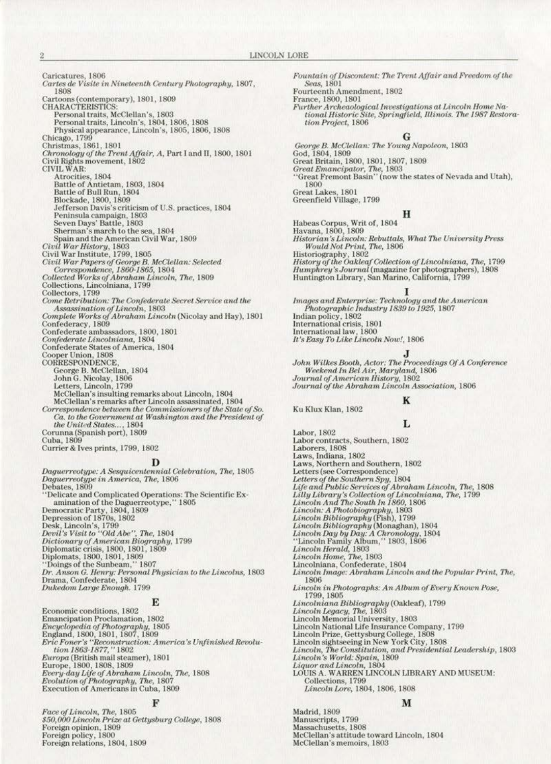Caricatures, 1806 Cartes de Visite in Nineteenth Century Photography, 1807, 1808 Cartoons (contemporary), 1801, 1809<br>CHARACTERISTICS: Personal traits, McClellan's, 1803<br>Personal traits, Lincoln's, 1804, 1806, 1808 Physical appearance, Lincoln's, 1805, 1806, 1808<br>Chicago, 1799<br>Christmas, 1861, 1801<br>Christmas, 1861, 1801<br>Civil Rights movement, 1802<br>Civil Rights movement, 1802<br>CIVIL WAR:<br>Atrocities, 1804<br>Battle of Antietam, 1803, 1804<br> Physical appearance, Lincoln's, 1805, 1806, 1808 Sherman's march to the sea, 1804<br>Spain and the American Civil War, 1809 Civil War History, 1803<br>Civil War Institute, 1799, 1805 Civil War Papers of George B. McClellan: Selected<br>Correspondence, 1860-1865, 1804<br>Collected Works of Abraham Lincoln, The, 1809 Collections, Lincolniana, 1799<br>Collectors, 1799<br>Come Retribution: The Confederate Secret Service and the Assassination of Lincoln, 1803<br>Complete Works of Abraham Lincoln (Nicolay and Hay), 1801 Confederacy, 1809<br>Confederate ambassadors, 1800, 1801<br>*Confederate Lincolniana*, 1804 Confederate Lancotanana, 1804<br>Confederate States of America, 1804<br>Cooper Union, 1808<br>CORRESPONDENCE,<br>George B. McClellan, 1804<br>John G. Nicolay, 1806<br>Letters, Lincoln, 1799<br>McClellanki incident america abo McClellan's insulting remarks about Lincoln, 1804<br>McClellan's remarks after Lincoln assassinated, 1804<br>Correspondence between the Commissioners of the State of So. Ca. to the Government at Washington and the President of the United States..., 1804<br>Corunna (Spanish port), 1809 Cuba, 1809 Currier & Ives prints, 1799, 1802 Daguerreotype: A Sesquicentennial Celebration, The, 1805 Daguerreotype in America, The, 1806 Debates, 1809 "Delicate and Complicated Operations: The Scientific Examination of the Daguerreotype,"  $1805$ <br>Democratic Party,  $1804$ ,  $1809$ <br>Depression of 1870s,  $1802$ <br>Desk, Lincoln's,  $1799$ <br>Desk, Lincoln's,  $1799$ <br>Desk, Lincoln's, 'Delicate and Complicated Operations: The Scientific Ex-Dukedom Large Enough. 1799

### Е

Economic conditions, 1802 Emancipation Proclamation, 1802 Encyclopedia of Photography, 1805<br>
England, 1800, 1801, 1807, 1809<br>
Eric Foner's "Reconstruction: America's Unfinished Revolution<br>
1863-1877,'' 1802<br>
Europa (British mail steamer), 1801 Europe, 1800, 1808, 1809<br>Every-day Life of Abraham Lincoln, The, 1808<br>Every-day Life of Abraham Lincoln, The, 1808<br>Evolution of Photography, The, 1807<br>Execution of Americans in Cuba, 1809

### F

Face of Lincoln, The, 1805<br>\$50,000 Lincoln Prize at Gettysburg College, 1808<br>Foreign opinion, 1809 Foreign policy, 1800 Foreign relations, 1804, 1809

Fountain of Discontent: The Trent Affair and Freedom of the Seas, 1801

Fourteenth Amendment, 1802

France, 1800, 1801

Ku Klux Klan, 1802

 $\label{thm:main} Further Arche aological Investigations~at\, Lincoln~Home~Na-\\tional~Historic~Site, Springfield, Illinois.~The~1987~Restora$ tion Project, 1806

George B. McClellan: The Young Napoleon, 1803<br>God, 1804, 1809 God, 1804, 1809<br>Great Britain, 1800, 1801, 1807, 1809<br>Great Emancipator, The, 1803<br>''Great Fremont Basin'' (now the states of Nevada and Utah), 1800 Great Lakes, 1801<br>Greenfield Village, 1799

### н

Habeas Corpus, Writ of, 1804<br>Havana, 1800, 1809<br>Historian's Lincoln: Rebuttals, What The University Press<br>Would Not Print, The, 1806<br>Historiography, 1802<br>History of the Oakleaf Collection of Lincolniana, The, 1799<br>Humphrey

 $\begin{array}{c} \textit{Images and Enterprise: Technology and the American} \\ \textit{Photographic Industry 1839 to 1925, 1807} \end{array}$ rnowyr praet rinaidd (1802)<br>Indian policy, 1802<br>International crisis, 1801<br>International law, 1800<br>It's Easy To Like Lincoln Now!, 1806

John Wilkes Booth, Actor: The Proceedings Of A Conference<br>Weekend In Bel Air, Maryland, 1806<br>Journal of American History, 1802 Journal of the Abraham Lincoln Association, 1806

# K

# L

Labor, 1802 Labor contracts, Southern, 1802 Laborers, 1808 Laws, Indiana, 1802 Laws, Northern and Southern, 1802 Letters (see Correspondence) Letters of the Southern Spy, 1804<br>Life and Public Services of Abraham Lincoln, The, 1808 Lilly Library's Collection of Lincolniana, The, 1799<br>Lincoln And The South In 1860, 1806 Lincoln And The South In 1860, 1806<br>Lincoln: A Photobiography, 1803<br>Lincoln Bibliography (Fish), 1799<br>Lincoln Bibliography (Monaghan), 1804<br>Lincoln Day by Day: A Chronology, 1804<br>"Lincoln Family Album," 1803, 1806<br>Lincoln Lincoln Image: Abraham Lincoln and the Popular Print, The, 1806 Lincoln in Photographs: An Album of Every Known Pose, 1799, 1805 Lincolniana Bibliography (Oakleaf), 1799<br>Lincoln Legacy, The, 1803<br>Lincoln Memorial University, 1803 Lincoln National Life Insurance Company, 1799<br>Lincoln Prize, Gettysburg College, 1808 Lincoln Prize, Gettysburg College, 1808<br>Lincoln sightseeing in New York City, 1808<br>*Lincoln, The Constitution, and Presidential Leadership*, 1803<br>*Lincoln's World: Spain,* 1809<br>*Liquor and Lincoln,* 1804<br>LOUIS A. WARREN LI Lincoln Lore, 1804, 1806, 1808

# M

Madrid, 1809 Manuscripts, 1799<br>Massachusetts, 1808 McClellan's attitude toward Lincoln, 1804 McClellan's memoirs, 1803

 $\overline{2}$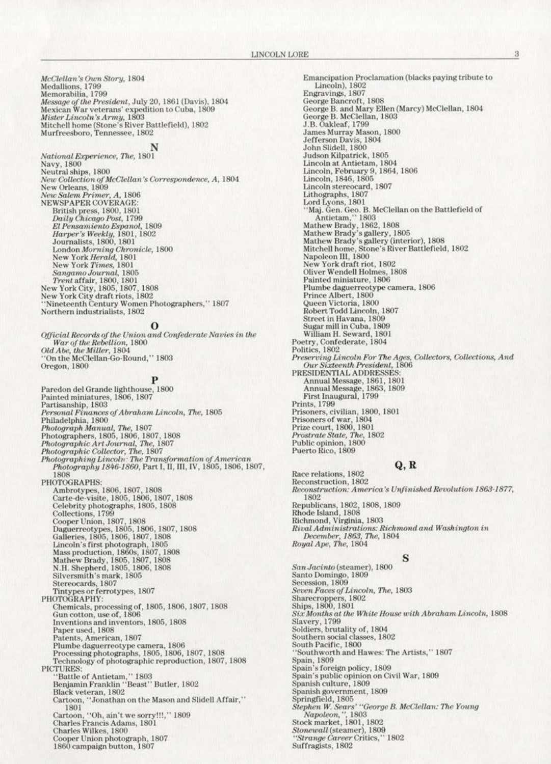*McClellan's Own Story,* 1804<br>Medallions, 1799<br>Memorabilia, 1799 Message of the President, July 20, 1861 (Davis), 1804<br>Message of the President, July 20, 1861 (Davis), 1804<br>Messican War veterans' expedition to Cuba, 1809<br>Mister Lincoln's Army, 1803<br>Mitchell home (Stone's River Battlefie

National Experience, The, 1801 National Experience, The, 1801<br>
Navy, 1800<br>
New Collection af McClellan's Correspondence, A, 1804<br>
New Collection of McClellan's Correspondence, A, 1804<br>
New Salem Primer, A, 1806<br>
New Salem Primer, A, 1806<br>
NEWSPAPER COVE Harper's Weekly, 1801, 1802<br>Journalists, 1800, 1801 Journalists, 1800, 1801<br>
London Morning Chronicle, 1800<br>
New York Herald, 1801<br>
New York Times, 1801<br>
Sangamo Journal, 1805<br>
Trent affair, 1800, 1801<br>
New York City, 1805, 1807, 1808<br>
New York City draft riots, 1802<br>
''Nin

### $\bf{o}$

 $\begin{array}{l} \textit{Official Records of the Union and Confederate Navies in the War of the Rebellion, 1800}\\ \textit{Old Abe, the Miller, 1804}\\ \textit{`On the McClellan-Go-Round,''}\textbf{1803} \end{array}$ Oregon, 1800

Paredon del Grande lighthouse, 1800<br>Painted miniatures, 1806, 1807 Painted miniatures, 1806, 1807<br>
Partisanship, 1803<br>
Personal Finances of Abraham Lincoln, The, 1805<br>
Philadelphia, 1800<br>
Philadelphia, 1800<br>
Philadelphia, 1800<br>
Photograph Manual, The, 1807<br>
Photographic Art Journal, The, 1808 PHOTOGRAPHS:<br>
Ambrotypes, 1806, 1807, 1808<br>
Carte-de-visite, 1805, 1806, 1807, 1808<br>
Celebrity photographs, 1805, 1807, 1808<br>
Celebrity photographs, 1805, 1808<br>
Collections, 1799<br>
Cooper Union, 1807, 1808<br>
Daguerreotypes, PHOTOGRAPHS: Chemicals, processing of, 1805, 1806, 1807, 1808<br>Gun cotton, use of, 1806 Gun cotton, use of, 1806<br>Inventions and inventors, 1805, 1808<br>Paper used, 1808<br>Patents, American, 1807<br>Plumbe daguerreotype camera, 1806<br>Processing photographs, 1805, 1806, 1807, 1808<br>Technology of photographic reproductio PICTURES: "TURES"<br>"Battle of Antietam," 1803<br>Benjamin Franklin "Beast" Butler, 1802<br>Black veteran, 1802<br>Cartoon, "Jonathan on the Mason and Slidell Affair," 1801 Cartoon, "Oh, ain't we sorry!!!," 1809<br>Charles Francis Adams, 1801 Charles Wilkes, 1800 Cooper Union photograph, 1807 1860 campaign button, 1807

Emancipation Proclamation (blacks paying tribute to<br>Lincoln), 1802 Engravings, 1807 George Bancroft, 1808<br>George B. and Mary Ellen (Marcy) McClellan, 1804<br>George B. McClellan, 1803 J.B. Oakleaf, 1799 James Murray Mason, 1800<br>Jefferson Davis, 1804<br>John Slidell, 1800 Judson Kilpatrick, 1805 Juncoln at Antietam, 1804<br>Lincoln, February 9, 1864, 1806<br>Lincoln, 1846, 1805<br>Lincoln, 1846, 1805 Lincoln stereocard, 1807<br>Lithographs, 1807<br>Lord Lyons, 1801<br>''Maj. Gen. Geo. B. McClellan on the Battlefield of<br>''Maj. Gen. Geo. B. McClellan on the Battlefield of<br>Mathew Brady, 1863<br>Mathew Brady's gallery, 1805<br>Mathew Bra Plumbe daguerreotype camera, 1806 Prince Albert, 1800 -<br>Queen Victoria, 1800<br>Robert Todd Lincoln, 1807 Street in Havana, 1809 Sugar mill in Cuba, 1809<br>William H. Seward, 1801 Poetry, Confederate, 1804<br>Politics, 1802 Politics, 1802<br>
Preserving Lincoln For The Ages, Collectors, Collections, And<br>
Our Sixteenth President, 1806<br>
PRESIDENTIAL ADDRESSES:<br>
Annual Message, 1861, 1801<br>
Annual Message, 1863, 1809<br>
First Inaugural, 1799<br>
Prins, 1 Prints, 1799<br>Prisoners, civilian, 1800, 1801<br>Prisoners of war, 1804<br>Prize court, 1800, 1801<br>*Prostrate State, The*, 1802<br>Public opinion, 1800<br>Puerto Rico, 1809

# $Q, R$

Race relations, 1802 Reconstruction, 1802 Reconstruction: America's Unfinished Revolution 1863-1877, 1802 Republicans, 1802, 1808, 1809<br>Rhode Island, 1808 Richmond, Virginia, 1803<br>Richmond, Virginia, 1803<br>*Rival Administrations: Richmond and Washington in*<br>*December, 1863, The*, 1804<br>*Royal Ape, The*, 1804

# s

San Jacinto (steamer), 1800 Santo Domingo, 1809<br>Secession, 1809 Seven Faces of Lincoln, The, 1803 Sharecroppers, 1802<br>Ships, 1800, 1801<br>Six Months at the White House with Abraham Lincoln, 1808 Slavery, 1799 Soldiers, brutality of, 1804 Southern social classes, 1802 South Pacific, 1800 "Southworth and Hawes: The Artists," 1807<br>Spain, 1809<br>Spain's foreign policy, 1809<br>Spain's public opinion on Civil War, 1809<br>Spanish culture, 1809<br>Spanish government, 1809<br>Springfield, 1805<br>*Stephen W. Sears' "George B. Mc* 'Southworth and Hawes: The Artists," 1807

3